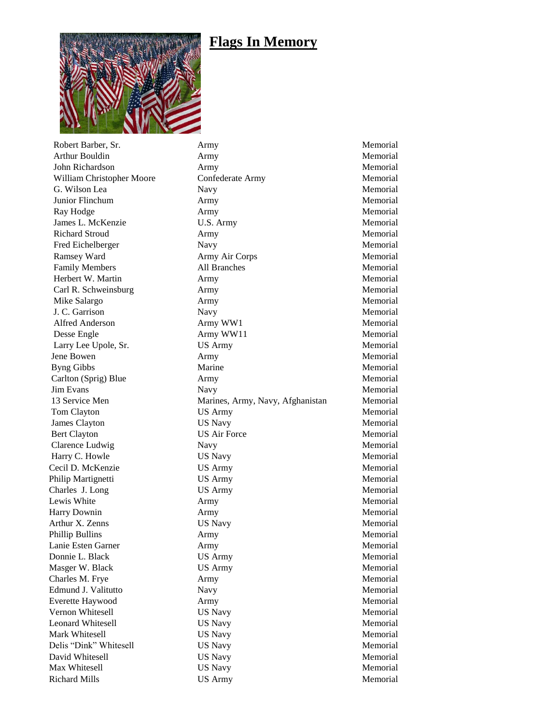## **Flags In Memory**



Richard Mills **Example 2018** US Army **Memorial** Memorial

Robert Barber, Sr. **Army Memorial** Arthur Bouldin **Army** Army **Memorial** John Richardson Army Army Memorial William Christopher Moore Confederate Army Memorial G. Wilson Lea Navy Navy Nemorial Junior Flinchum Army Memorial Ray Hodge **Army** Army Memorial James L. McKenzie U.S. Army Memorial Richard Stroud **Army Army Memorial** Fred Eichelberger Navy Navy Memorial Ramsey Ward **Army Air Corps Memorial** Family Members **All Branches** All Branches Memorial Herbert W. Martin **Army Army Memorial**  Carl R. Schweinsburg Army Memorial Mike Salargo **Army Memorial** Army Memorial J. C. Garrison Navy Memorial Alfred Anderson **Army WW1** Memorial Desse Engle **Army WW11** Army MW11 Memorial Larry Lee Upole, Sr. US Army Memorial Jene Bowen **Army** Army **Memorial** Byng Gibbs Marine Memorial Carlton (Sprig) Blue Army Army Memorial **Jim Evans** Navy Navy **Memorial**  13 Service Men Marines, Army, Navy, Afghanistan Memorial Tom Clayton **US Army** US Army Memorial James Clayton US Navy Memorial Bert Clayton **US** Air Force Memorial Clarence Ludwig Navy Navy Navy Memorial Harry C. Howle **Example 2018** US Navy **Memorial** Memorial Cecil D. McKenzie US Army Memorial Philip Martignetti **CS** Army **Memorial** US Army Memorial Charles J. Long US Army US Army Memorial Lewis White **Army Army Memorial** Harry Downin **Army Army Army Memorial**  Arthur X. Zenns US Navy Memorial Phillip Bullins **Army** Army **Memorial** Lanie Esten Garner **Army** Army Memorial Donnie L. Black US Army Memorial Masger W. Black **US Army Memorial** Charles M. Frye **Army** Army **Memorial**  Edmund J. Valitutto Navy Memorial Everette Haywood **Army** Army **Memorial** Vernon Whitesell **VS Navy CON** US Navy **Memorial** Leonard Whitesell **Leonard Whitesell** US Navy Memorial Mark Whitesell **WARE SETTED US Navy** Memorial Memorial Delis "Dink" Whitesell US Navy Memorial David Whitesell **CS Navy CONFIDENTIAL US Navy** Memorial Max Whitesell **Example 19** US Navy **Memorial** Memorial